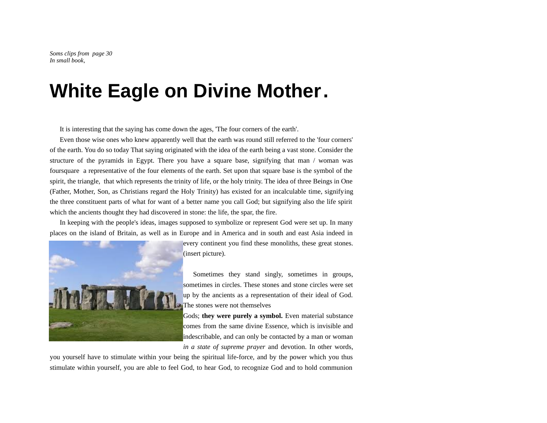# **White Eagle on Divine Mother.**

It is interesting that the saying has come down the ages, 'The four corners of the earth'.

Even those wise ones who knew apparently well that the earth was round still referred to the 'four corners' of the earth. You do so today That saying originated with the idea of the earth being a vast stone. Consider the structure of the pyramids in Egypt. There you have a square base, signifying that man / woman was foursquare a representative of the four elements of the earth. Set upon that square base is the symbol of the spirit, the triangle, that which represents the trinity of life, or the holy trinity. The idea of three Beings in One (Father, Mother, Son, as Christians regard the Holy Trinity) has existed for an incalculable time, signifying the three constituent parts of what for want of a better name you call God; but signifying also the life spirit which the ancients thought they had discovered in stone: the life, the spar, the fire.

In keeping with the people's ideas, images supposed to symbolize or represent God were set up. In many places on the island of Britain, as well as in Europe and in America and in south and east Asia indeed in



every continent you find these monoliths, these great stones. (insert picture).

Sometimes they stand singly, sometimes in groups, sometimes in circles. These stones and stone circles were set up by the ancients as a representation of their ideal of God. The stones were not themselves

Gods; **they were purely a symbol.** Even material substance comes from the same divine Essence, which is invisible and indescribable, and can only be contacted by a man or woman *in a state of supreme prayer* and devotion. In other words,

you yourself have to stimulate within your being the spiritual life-force, and by the power which you thus stimulate within yourself, you are able to feel God, to hear God, to recognize God and to hold communion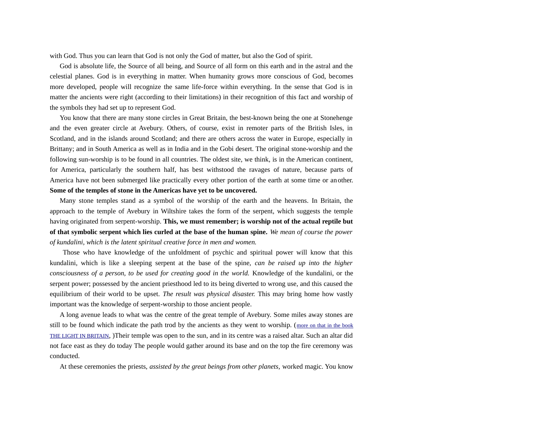with God. Thus you can learn that God is not only the God of matter, but also the God of spirit.

God is absolute life, the Source of all being, and Source of all form on this earth and in the astral and the celestial planes. God is in everything in matter. When humanity grows more conscious of God, becomes more developed, people will recognize the same life-force within everything. In the sense that God is in matter the ancients were right (according to their limitations) in their recognition of this fact and worship of the symbols they had set up to represent God.

You know that there are many stone circles in Great Britain, the best-known being the one at Stonehenge and the even greater circle at Avebury. Others, of course, exist in remoter parts of the British Isles, in Scotland, and in the islands around Scotland; and there are others across the water in Europe, especially in Brittany; and in South America as well as in India and in the Gobi desert. The original stone-worship and the following sun-worship is to be found in all countries. The oldest site, we think, is in the American continent, for America, particularly the southern half, has best withstood the ravages of nature, because parts of America have not been submerged like practically every other portion of the earth at some time or another. **Some of the temples of stone in the Americas have yet to be uncovered.**

Many stone temples stand as a symbol of the worship of the earth and the heavens. In Britain, the approach to the temple of Avebury in Wiltshire takes the form of the serpent, which suggests the temple having originated from serpent-worship. **This, we must remember; is worship not of the actual reptile but of that symbolic serpent which lies curled at the base of the human spine.** *We mean of course the power of kundalini, which is the latent spiritual creative force in men and women.*

 Those who have knowledge of the unfoldment of psychic and spiritual power will know that this kundalini, which is like a sleeping serpent at the base of the spine, *can be raised up into the higher consciousness of a person, to be used for creating good in the world.* Knowledge of the kundalini, or the serpent power; possessed by the ancient priesthood led to its being diverted to wrong use, and this caused the equilibrium of their world to be upset. *The result was physical disaster.* This may bring home how vastly important was the knowledge of serpent-worship to those ancient people.

A long avenue leads to what was the centre of the great temple of Avebury. Some miles away stones are still to be found which indicate the path trod by the ancients as they went to worship. ([more on that in the book](http://galactic.no/rune/spesBoker/lightInBritain_wPictures.pdf) [THE LIGHT IN BRITAIN](http://galactic.no/rune/spesBoker/lightInBritain_wPictures.pdf), )Their temple was open to the sun, and in its centre was a raised altar. Such an altar did not face east as they do today The people would gather around its base and on the top the fire ceremony was conducted.

At these ceremonies the priests, *assisted by the great beings from other planets,* worked magic. You know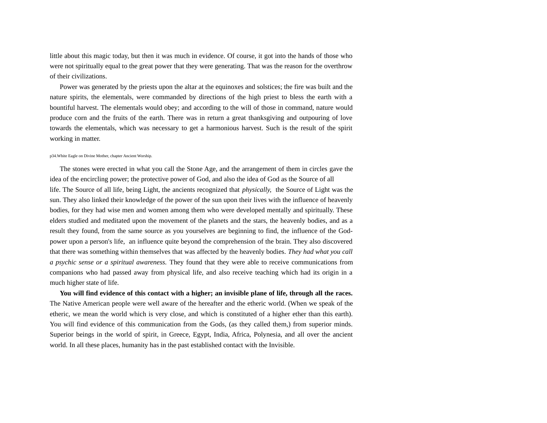little about this magic today, but then it was much in evidence. Of course, it got into the hands of those who were not spiritually equal to the great power that they were generating. That was the reason for the overthrow of their civilizations.

Power was generated by the priests upon the altar at the equinoxes and solstices; the fire was built and the nature spirits, the elementals, were commanded by directions of the high priest to bless the earth with a bountiful harvest. The elementals would obey; and according to the will of those in command, nature would produce corn and the fruits of the earth. There was in return a great thanksgiving and outpouring of love towards the elementals, which was necessary to get a harmonious harvest. Such is the result of the spirit working in matter.

#### p34.White Eagle on Divine Mother, chapter Ancient Worship.

The stones were erected in what you call the Stone Age, and the arrangement of them in circles gave the idea of the encircling power; the protective power of God, and also the idea of God as the Source of all life. The Source of all life, being Light, the ancients recognized that *physically,* the Source of Light was the sun. They also linked their knowledge of the power of the sun upon their lives with the influence of heavenly bodies, for they had wise men and women among them who were developed mentally and spiritually. These elders studied and meditated upon the movement of the planets and the stars, the heavenly bodies, and as a result they found, from the same source as you yourselves are beginning to find, the influence of the Godpower upon a person's life, an influence quite beyond the comprehension of the brain. They also discovered that there was something within themselves that was affected by the heavenly bodies. *They had what you call a psychic sense or a spiritual awareness.* They found that they were able to receive communications from companions who had passed away from physical life, and also receive teaching which had its origin in a much higher state of life.

**You will find evidence of this contact with a higher; an invisible plane of life, through all the races.** The Native American people were well aware of the hereafter and the etheric world. (When we speak of the etheric, we mean the world which is very close, and which is constituted of a higher ether than this earth). You will find evidence of this communication from the Gods, (as they called them,) from superior minds. Superior beings in the world of spirit, in Greece, Egypt, India, Africa, Polynesia, and all over the ancient world. In all these places, humanity has in the past established contact with the Invisible.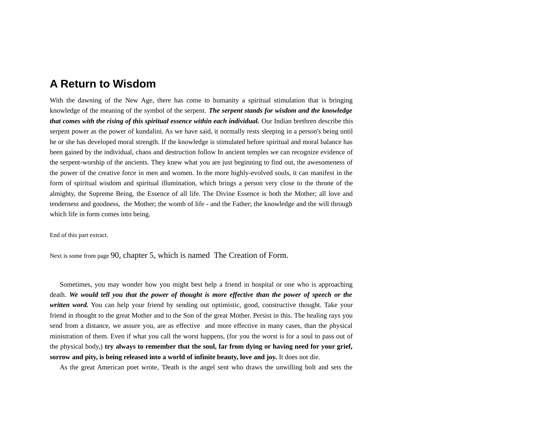## **A Return to Wisdom**

With the dawning of the New Age, there has come to humanity a spiritual stimulation that is bringing knowledge of the meaning of the symbol of the serpent. *The serpent stands for wisdom and the knowledge that comes with the rising of this spiritual essence within each individual.* Our Indian brethren describe this serpent power as the power of kundalini. As we have said, it normally rests sleeping in a person's being until he or she has developed moral strength. If the knowledge is stimulated before spiritual and moral balance has been gained by the individual, chaos and destruction follow In ancient temples we can recognize evidence of the serpent-worship of the ancients. They knew what you are just beginning to find out, the awesomeness of the power of the creative force in men and women. In the more highly-evolved souls, it can manifest in the form of spiritual wisdom and spiritual illumination, which brings a person very close to the throne of the almighty, the Supreme Being, the Essence of all life. The Divine Essence is both the Mother; all love and tenderness and goodness, the Mother; the womb of life - and the Father; the knowledge and the will through which life in form comes into being.

End of this part extract.

Next is some from page 90, chapter 5, which is named The Creation of Form.

Sometimes, you may wonder how you might best help a friend in hospital or one who is approaching death. *We would tell you that the power of thought is more effective than the power of speech or the written word.* You can help your friend by sending out optimistic, good, constructive thought. Take your friend in thought to the great Mother and to the Son of the great Mother. Persist in this. The healing rays you send from a distance, we assure you, are as effective and more effective in many cases, than the physical ministration of them. Even if what you call the worst happens, (for you the worst is for a soul to pass out of the physical body,) **try always to remember that the soul, far from dying or having need for your grief, sorrow and pity, is being released into a world of infinite beauty, love and joy.** It does not die.

As the great American poet wrote, 'Death is the angel sent who draws the unwilling bolt and sets the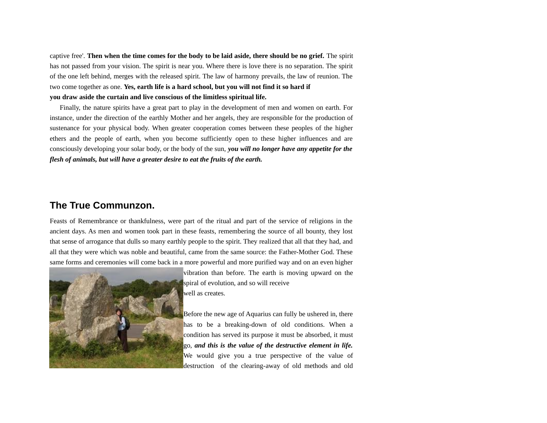captive free'. **Then when the time comes for the body to be laid aside, there should be no grief.** The spirit has not passed from your vision. The spirit is near you. Where there is love there is no separation. The spirit of the one left behind, merges with the released spirit. The law of harmony prevails, the law of reunion. The two come together as one. **Yes, earth life is a hard school, but you will not find it so hard if you draw aside the curtain and live conscious of the limitless spiritual life.**

Finally, the nature spirits have a great part to play in the development of men and women on earth. For instance, under the direction of the earthly Mother and her angels, they are responsible for the production of sustenance for your physical body. When greater cooperation comes between these peoples of the higher ethers and the people of earth, when you become sufficiently open to these higher influences and are consciously developing your solar body, or the body of the sun, *you will no longer have any appetite for the flesh of animals, but will have a greater desire to eat the fruits of the earth.*

### **The True Communzon.**

Feasts of Remembrance or thankfulness, were part of the ritual and part of the service of religions in the ancient days. As men and women took part in these feasts, remembering the source of all bounty, they lost that sense of arrogance that dulls so many earthly people to the spirit. They realized that all that they had, and all that they were which was noble and beautiful, came from the same source: the Father-Mother God. These same forms and ceremonies will come back in a more powerful and more purified way and on an even higher



vibration than before. The earth is moving upward on the spiral of evolution, and so will receive well as creates.

Before the new age of Aquarius can fully be ushered in, there has to be a breaking-down of old conditions. When a condition has served its purpose it must be absorbed, it must go, *and this is the value of the destructive element in life.* We would give you a true perspective of the value of destruction of the clearing-away of old methods and old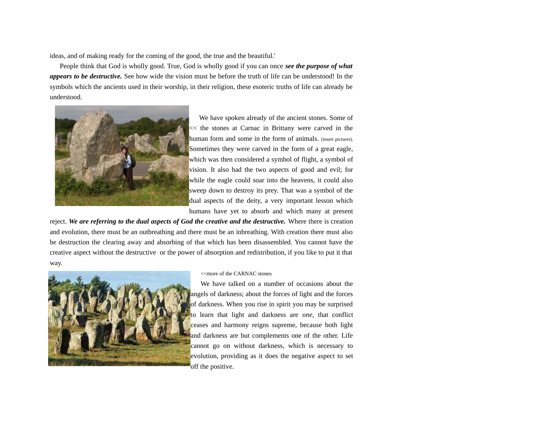ideas, and of making ready for the coming of the good, the true and the beautiful.'

People think that God is wholly good. True, God is wholly good if you can once *see the purpose of what appears to be destructive.* See how wide the vision must be before the truth of life can be understood! In the symbols which the ancients used in their worship, in their religion, these esoteric truths of life can already be understood.



We have spoken already of the ancient stones. Some of << the stones at Carnac in Brittany were carved in the human form and some in the form of animals. (insert pictures). Sometimes they were carved in the form of a great eagle, which was then considered a symbol of flight, a symbol of vision. It also had the two aspects of good and evil; for while the eagle could soar into the heavens, it could also sweep down to destroy its prey. That was a symbol of the dual aspects of the deity, a very important lesson which humans have yet to absorb and which many at present

reject. *We are referring to the dual aspects of God the creative and the destructive.* Where there is creation and evolution, there must be an outbreathing and there must be an inbreathing. With creation there must also be destruction the clearing away and absorbing of that which has been disassembled. You cannot have the creative aspect without the destructive or the power of absorption and redistribution, if you like to put it that way.



#### <<more of the CARNAC stones

We have talked on a number of occasions about the angels of darkness; about the forces of light and the forces of darkness. When you rise in spirit you may be surprised to learn that light and darkness are *one,* that conflict ceases and harmony reigns supreme, because both light and darkness are but complements one of the other. Life cannot go on without darkness, which is necessary to evolution, providing as it does the negative aspect to set off the positive.